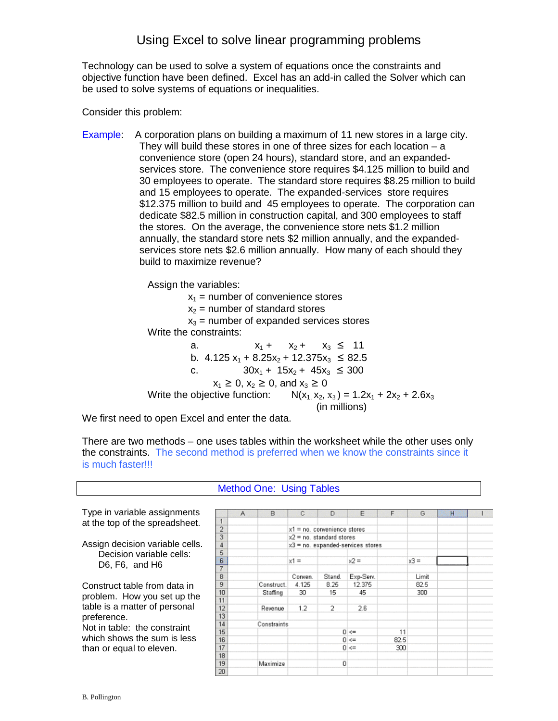Technology can be used to solve a system of equations once the constraints and objective function have been defined. Excel has an add-in called the Solver which can be used to solve systems of equations or inequalities.

Consider this problem:

Example: A corporation plans on building a maximum of 11 new stores in a large city. They will build these stores in one of three sizes for each location – a convenience store (open 24 hours), standard store, and an expandedservices store. The convenience store requires \$4.125 million to build and 30 employees to operate. The standard store requires \$8.25 million to build and 15 employees to operate. The expanded-services store requires \$12.375 million to build and 45 employees to operate. The corporation can dedicate \$82.5 million in construction capital, and 300 employees to staff the stores. On the average, the convenience store nets \$1.2 million annually, the standard store nets \$2 million annually, and the expandedservices store nets \$2.6 million annually. How many of each should they build to maximize revenue?

Assign the variables:

 $x_1$  = number of convenience stores  $x_2$  = number of standard stores  $x_3$  = number of expanded services stores Write the constraints: a.  $x_1 + x_2 + x_3 \leq 11$ b.  $4.125 x_1 + 8.25x_2 + 12.375x_3 \le 82.5$ c.  $30x_1 + 15x_2 + 45x_3 \le 300$  $x_1 \ge 0$ ,  $x_2 \ge 0$ , and  $x_3 \ge 0$ Write the objective function:  $N(x_1, x_2, x_3) = 1.2x_1 + 2x_2 + 2.6x_3$ (in millions)

We first need to open Excel and enter the data.

There are two methods – one uses tables within the worksheet while the other uses only the constraints. The second method is preferred when we know the constraints since it is much faster!!!

Method One: Using Tables

 $\overline{B}$  $\Box$ A  $\mathbb{C}$ G.  $\overline{1}$  $\overline{2}$  $x1$  = no. convenience stores  $\frac{1}{3}$  $x2 = no.$  standard stores  $\overline{4}$  $x3$  = no. expanded-services stores  $\frac{5}{6}$  $x1 =$  $x2 =$  $x3 =$  $\begin{array}{c} 7 \\ 8 \end{array}$ Conven. Stand. Exp-Serv. Limit  $\overline{9}$ Construct. 4.125 8.25 12.375 82.5  $10$  $300$ Staffing 30 15 45  $11$  $\overline{2}$  $2.6$  $12$ Revenue  $1.2$  $\overline{13}$  $14$ Constraints 15  $0 \leq x$ 11  $16$  $0 <$ 82.5  $17$  $0 \leq x$ 300 18  $\mathbf 0$ 19 Maximize 20

Type in variable assignments at the top of the spreadsheet.

Assign decision variable cells. Decision variable cells: D6, F6, and H6

Construct table from data in problem. How you set up the table is a matter of personal preference.

Not in table: the constraint which shows the sum is less than or equal to eleven.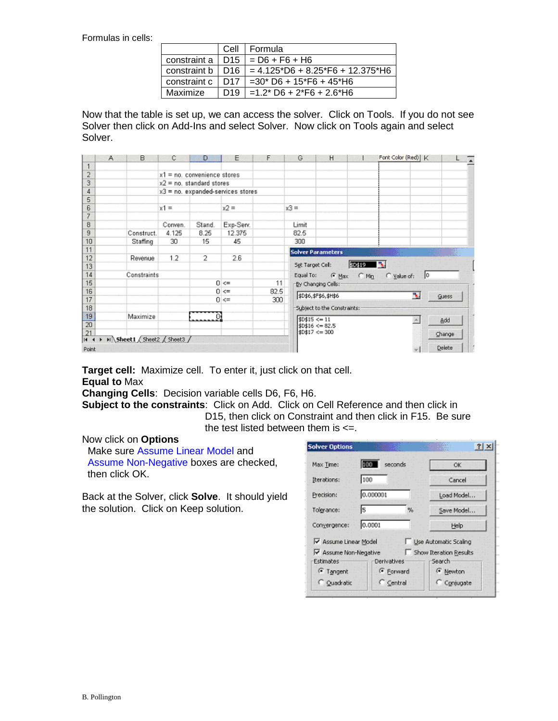Formulas in cells:

|                         | Cell            | Formula                                              |
|-------------------------|-----------------|------------------------------------------------------|
| constraint a 1          | D <sub>15</sub> | $= D6 + F6 + H6$                                     |
| constraint $b \mid D16$ |                 | $= 4.125 \cdot D6 + 8.25 \cdot F6 + 12.375 \cdot H6$ |
| constraint c            | D <sub>17</sub> | $=30*$ D6 + 15*F6 + 45*H6                            |
| Maximize                | D <sub>19</sub> | $=1.2$ * D6 + 2*F6 + 2.6*H6                          |

Now that the table is set up, we can access the solver. Click on Tools. If you do not see Solver then click on Add-Ins and select Solver. Now click on Tools again and select Solver.

|                 | A | B                          | с                                   | D              | Ε          | F    | G         | H                             |                                     | Font Color (Red)   K | L      |
|-----------------|---|----------------------------|-------------------------------------|----------------|------------|------|-----------|-------------------------------|-------------------------------------|----------------------|--------|
| 1               |   |                            |                                     |                |            |      |           |                               |                                     |                      |        |
| $\overline{2}$  |   |                            | $x1$ = no. convenience stores       |                |            |      |           |                               |                                     |                      |        |
| 3               |   |                            | $x2 = no$ . standard stores         |                |            |      |           |                               |                                     |                      |        |
| 4               |   |                            | $x3$ = no. expanded-services stores |                |            |      |           |                               |                                     |                      |        |
| 5               |   |                            |                                     |                |            |      |           |                               |                                     |                      |        |
| 6               |   |                            | $x1 =$                              |                | $x2 =$     |      | $x3 =$    |                               |                                     |                      |        |
| 7               |   |                            |                                     |                |            |      |           |                               |                                     |                      |        |
| 8               |   |                            | Conven.                             | Stand.         | Exp-Serv.  |      | Limit     |                               |                                     |                      |        |
| 9               |   | Construct.                 | 4.125                               | 8.25           | 12.375     |      | 82.5      |                               |                                     |                      |        |
| 10              |   | Staffing                   | 30                                  | 15             | 45         |      | 300       |                               |                                     |                      |        |
| 11              |   |                            |                                     |                |            |      |           | <b>Solver Parameters</b>      |                                     |                      | 眍      |
| 12              |   | Revenue                    | 1.2                                 | $\overline{2}$ | 2.6        |      |           |                               |                                     |                      |        |
| 13              |   |                            |                                     |                |            |      |           | Set Target Cel:               | \$D\$19                             | B.                   |        |
| 14              |   | Constraints                |                                     |                |            |      | Equal To: |                               | $\mathcal{F}$ Max $\mathcal{F}$ Min | Value of:<br>10      |        |
| 15              |   |                            |                                     |                | $0 \leq x$ | 11   |           | -By Changing Cells:           |                                     |                      |        |
| 16              |   |                            |                                     |                | $0 \leq$   | 82.5 |           | \$D\$6,\$F\$6,\$H\$6          | F.                                  | <b>Guess</b>         |        |
| 17              |   |                            |                                     |                | $0 < =$    | 300  |           |                               |                                     |                      |        |
| 18              |   |                            |                                     |                |            |      |           | -Subject to the Constraints:- |                                     |                      |        |
| 19              |   | Maximize                   |                                     |                |            |      |           | \$D\$15 < 11                  |                                     |                      | Add    |
| $\overline{20}$ |   |                            |                                     |                |            |      |           | \$D\$16 <= 82.5               |                                     |                      |        |
| 21<br>$14 - 4$  |   | > M Sheet1 Sheet2 Sheet3 / |                                     |                |            |      |           | $$D$17 < = 300$               |                                     |                      | Change |
| Point           |   |                            |                                     |                |            |      |           |                               |                                     |                      | Delete |

**Target cell:** Maximize cell. To enter it, just click on that cell. **Equal to** Max

**Changing Cells**: Decision variable cells D6, F6, H6.

**Subject to the constraints**: Click on Add. Click on Cell Reference and then click in D15, then click on Constraint and then click in F15. Be sure the test listed between them is  $\leq$ .

## Now click on **Options**

 Make sure Assume Linear Model and Assume Non-Negative boxes are checked, then click OK.

Back at the Solver, click **Solve**. It should yield the solution. Click on Keep solution.

| <b>Solver Options</b>      |                |   |                        |  |  |
|----------------------------|----------------|---|------------------------|--|--|
| Max Time:                  | 100<br>seconds |   | 0K                     |  |  |
| Iterations:                | 100            |   | Cancel                 |  |  |
| Precision:                 | 0.000001       |   | Load Model             |  |  |
| Tolerance:                 | l5             | % | Save Model             |  |  |
| 10.0001<br>Convergence:    |                |   | Help                   |  |  |
| Assume Linear Model        |                |   | Use Automatic Scaling  |  |  |
| Assume Non-Negative        |                |   | Show Iteration Results |  |  |
| Estimates                  | Derivatives    |   | Search                 |  |  |
| <sup>6</sup> Tangent       | Forward        |   | <sup>6</sup> Newton    |  |  |
| C Quadratic<br>$C$ Central |                |   | C Conjugate            |  |  |